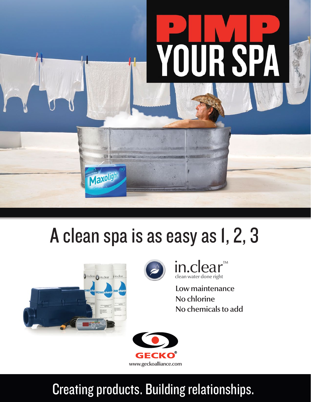

# A clean spa is as easy as 1, 2, 3





in.clear ™clean water done right

Low maintenance No chlorine No chemicals to add



# Creating products. Building relationships.